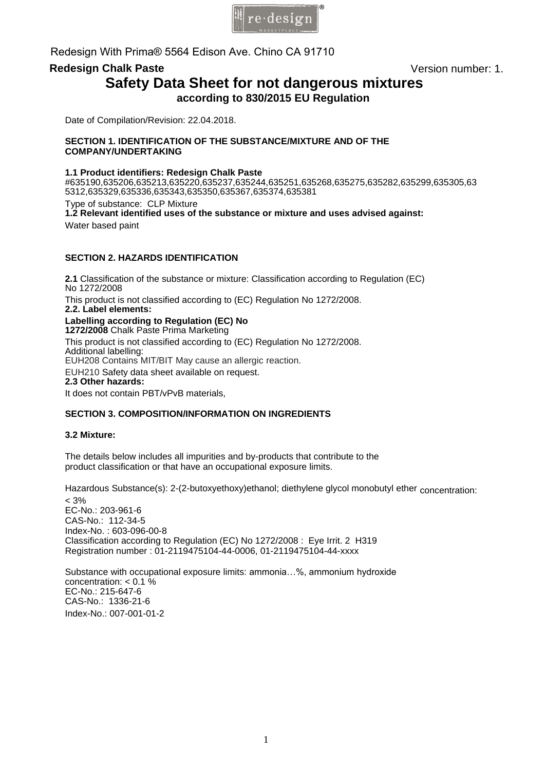

Redesign With Prima® 5564 Edison Ave. Chino CA 91710

# **Redesign Chalk Paste** Version number: 1. **Safety Data Sheet for not dangerous mixtures according to 830/2015 EU Regulation**

Date of Compilation/Revision: 22.04.2018.

### **SECTION 1. IDENTIFICATION OF THE SUBSTANCE/MIXTURE AND OF THE COMPANY/UNDERTAKING**

## **1.1 Product identifiers: Redesign Chalk Paste**

#635190,635206,635213,635220,635237,635244,635251,635268,635275,635282,635299,635305,63 5312,635329,635336,635343,635350,635367,635374,635381

Type of substance: CLP Mixture

**1.2 Relevant identified uses of the substance or mixture and uses advised against:**  Water based paint

## **SECTION 2. HAZARDS IDENTIFICATION**

**2.1** Classification of the substance or mixture: Classification according to Regulation (EC) No 12[72/2008](mailto:info@pentacolor.hu)  This product is not classified according to (EC[\) Regulation No 1272](mailto:info@pentacolor.hu)/2008. **2.2. Label elements: Labelling according to Regulation (EC) No 1272/2008** Chalk Paste Prima Marketing This product is not classified according to (EC) Regulation No 1272/2008. Additional labelling: EUH208 Contains MIT/BIT May cause an allergic reaction. EUH210 Safety data sheet available on request. **2.3 Other hazards:**  It does not contain PBT/vPvB materials,

# **SECTION 3. COMPOSITION/INFORMATION ON INGREDIENTS**

## **3.2 Mixture:**

The details below includes all impurities and by-products that contribute to the product classification or that have an occupational exposure limits.

Hazardous Substance(s): 2-(2-butoxyethoxy)ethanol; diethylene glycol monobutyl ether concentration:

 $< 3%$ EC-No.: 203-961-6 CAS-No.: 112-34-5 Index-No. : 603-096-00-8 Classification according to Regulation (EC) No 1272/2008 : Eye Irrit. 2 H319 Registration number : 01-2119475104-44-0006, 01-2119475104-44-xxxx

Substance with occupational exposure limits: ammonia…%, ammonium hydroxide concentration: < 0.1 % EC-No.: 215-647-6 CAS-No.: 1336-21-6 Index-No.: 007-001-01-2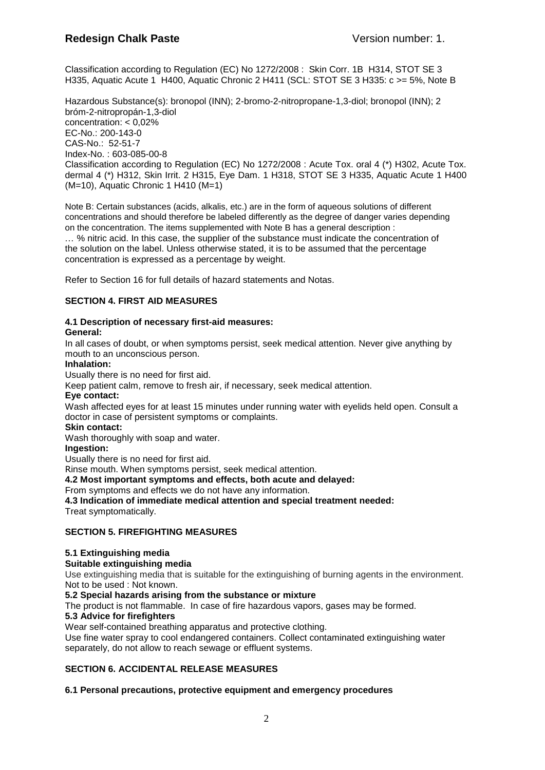Classification according to Regulation (EC) No 1272/2008 : Skin Corr. 1B H314, STOT SE 3 H335, Aquatic Acute 1 H400, Aquatic Chronic 2 H411 (SCL: STOT SE 3 H335: c >= 5%, Note B

Hazardous Substance(s): bronopol (INN); 2-bromo-2-nitropropane-1,3-diol; bronopol (INN); 2 bróm-2-nitropropán-1,3-diol concentration: < 0,02% EC-No.: 200-143-0 CAS-No.: 52-51-7 Index-No. : 603-085-00-8 Classification according to Regulation (EC) No 1272/2008 : Acute Tox. oral 4 (\*) H302, Acute Tox. dermal 4 (\*) H312, Skin Irrit. 2 H315, Eye Dam. 1 H318, STOT SE 3 H335, Aquatic Acute 1 H400 (M=10), Aquatic Chronic 1 H410 (M=1)

Note B: Certain substances (acids, alkalis, etc.) are in the form of aqueous solutions of different concentrations and should therefore be labeled differently as the degree of danger varies depending on the concentration. The items supplemented with Note B has a general description :

… % nitric acid. In this case, the supplier of the substance must indicate the concentration of the solution on the label. Unless otherwise stated, it is to be assumed that the percentage concentration is expressed as a percentage by weight.

Refer to Section 16 for full details of hazard statements and Notas.

## **SECTION 4. FIRST AID MEASURES**

## **4.1 Description of necessary first-aid measures:**

### **General:**

In all cases of doubt, or when symptoms persist, seek medical attention. Never give anything by mouth to an unconscious person.

## **Inhalation:**

Usually there is no need for first aid.

Keep patient calm, remove to fresh air, if necessary, seek medical attention.

#### **Eye contact:**

Wash affected eyes for at least 15 minutes under running water with eyelids held open. Consult a doctor in case of persistent symptoms or complaints.

#### **Skin contact:**

Wash thoroughly with soap and water.

### **Ingestion:**

Usually there is no need for first aid.

Rinse mouth. When symptoms persist, seek medical attention.

**4.2 Most important symptoms and effects, both acute and delayed:**

From symptoms and effects we do not have any information.

**4.3 Indication of immediate medical attention and special treatment needed:** Treat symptomatically.

## **SECTION 5. FIREFIGHTING MEASURES**

## **5.1 Extinguishing media**

#### **Suitable extinguishing media**

Use extinguishing media that is suitable for the extinguishing of burning agents in the environment. Not to be used : Not known.

#### **5.2 Special hazards arising from the substance or mixture**

The product is not flammable. In case of fire hazardous vapors, gases may be formed.

## **5.3 Advice for firefighters**

Wear self-contained breathing apparatus and protective clothing. Use fine water spray to cool endangered containers. Collect contaminated extinguishing water separately, do not allow to reach sewage or effluent systems.

## **SECTION 6. ACCIDENTAL RELEASE MEASURES**

## **6.1 Personal precautions, protective equipment and emergency procedures**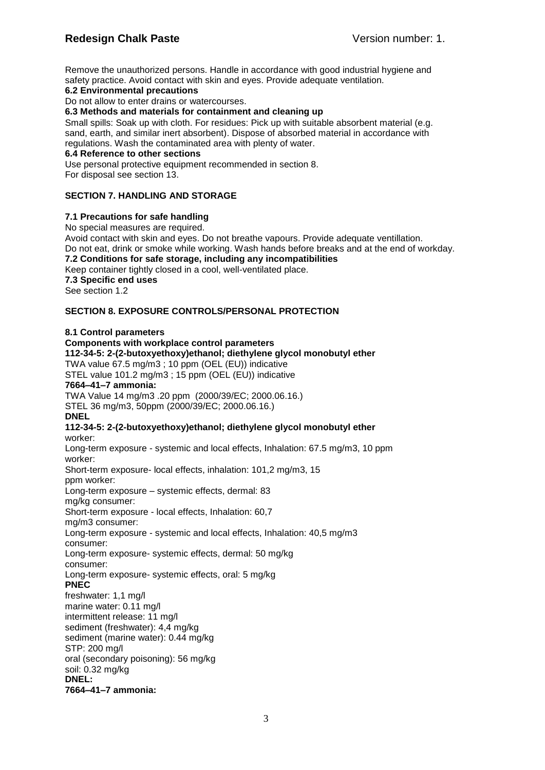Remove the unauthorized persons. Handle in accordance with good industrial hygiene and safety practice. Avoid contact with skin and eyes. Provide adequate ventilation.

### **6.2 Environmental precautions**

Do not allow to enter drains or watercourses.

## **6.3 Methods and materials for containment and cleaning up**

Small spills: Soak up with cloth. For residues: Pick up with suitable absorbent material (e.g. sand, earth, and similar inert absorbent). Dispose of absorbed material in accordance with regulations. Wash the contaminated area with plenty of water.

### **6.4 Reference to other sections**

Use personal protective equipment recommended in section 8. For disposal see section 13.

## **SECTION 7. HANDLING AND STORAGE**

## **7.1 Precautions for safe handling**

No special measures are required.

Avoid contact with skin and eyes. Do not breathe vapours. Provide adequate ventillation. Do not eat, drink or smoke while working. Wash hands before breaks and at the end of workday. **7.2 Conditions for safe storage, including any incompatibilities** Keep container tightly closed in a cool, well-ventilated place.

**7.3 Specific end uses** See section 1.2

# **SECTION 8. EXPOSURE CONTROLS/PERSONAL PROTECTION**

### **8.1 Control parameters**

**Components with workplace control parameters 112-34-5: 2-(2-butoxyethoxy)ethanol; diethylene glycol monobutyl ether** TWA value 67.5 mg/m3 ; 10 ppm (OEL (EU)) indicative STEL value 101.2 mg/m3 ; 15 ppm (OEL (EU)) indicative **7664–41–7 ammonia:** TWA Value 14 mg/m3 .20 ppm (2000/39/EC; 2000.06.16.) STEL 36 mg/m3, 50ppm (2000/39/EC; 2000.06.16.) **DNEL 112-34-5: 2-(2-butoxyethoxy)ethanol; diethylene glycol monobutyl ether** worker: Long-term exposure - systemic and local effects, Inhalation: 67.5 mg/m3, 10 ppm worker: Short-term exposure- local effects, inhalation: 101,2 mg/m3, 15 ppm worker: Long-term exposure – systemic effects, dermal: 83 mg/kg consumer: Short-term exposure - local effects, Inhalation: 60,7 mg/m3 consumer: Long-term exposure - systemic and local effects, Inhalation: 40,5 mg/m3 consumer: Long-term exposure- systemic effects, dermal: 50 mg/kg consumer: Long-term exposure- systemic effects, oral: 5 mg/kg **PNEC** freshwater: 1,1 mg/l marine water: 0.11 mg/l intermittent release: 11 mg/l sediment (freshwater): 4,4 mg/kg sediment (marine water): 0.44 mg/kg STP: 200 mg/l oral (secondary poisoning): 56 mg/kg soil: 0.32 mg/kg **DNEL: 7664–41–7 ammonia:**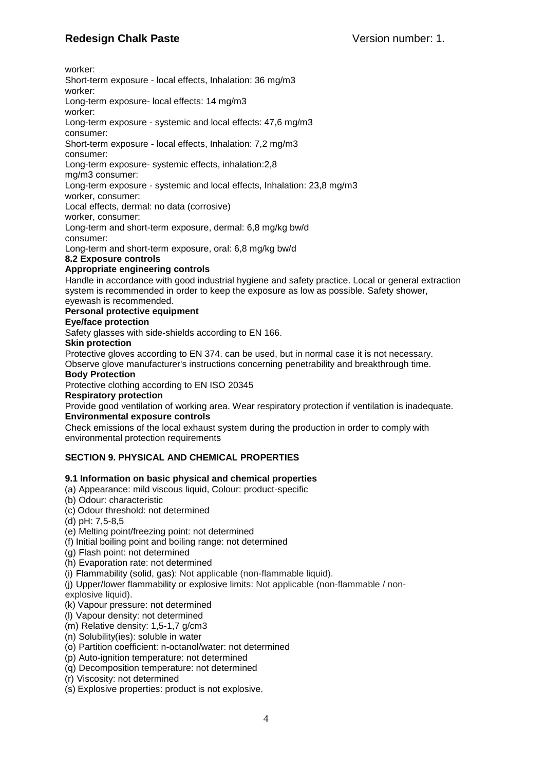worker:

Short-term exposure - local effects, Inhalation: 36 mg/m3

worker: Long-term exposure- local effects: 14 mg/m3

worker:

Long-term exposure - systemic and local effects: 47,6 mg/m3

consumer:

Short-term exposure - local effects, Inhalation: 7,2 mg/m3

consumer:

Long-term exposure- systemic effects, inhalation:2,8

mg/m3 consumer:

# Long-term exposure - systemic and local effects, Inhalation: 23,8 mg/m3

worker, consumer:

Local effects, dermal: no data (corrosive)

worker, consumer:

Long-term and short-term exposure, dermal: 6,8 mg/kg bw/d

consumer:

Long-term and short-term exposure, oral: 6,8 mg/kg bw/d

# **8.2 Exposure controls**

# **Appropriate engineering controls**

Handle in accordance with good industrial hygiene and safety practice. Local or general extraction system is recommended in order to keep the exposure as low as possible. Safety shower, eyewash is recommended.

# **Personal protective equipment**

# **Eye/face protection**

Safety glasses with side-shields according to EN 166.

**Skin protection**

Protective gloves according to EN 374. can be used, but in normal case it is not necessary. Observe glove manufacturer's instructions concerning penetrability and breakthrough time.

## **Body Protection**

Protective clothing according to EN ISO 20345

# **Respiratory protection**

Provide good ventilation of working area. Wear respiratory protection if ventilation is inadequate. **Environmental exposure controls**

Check emissions of the local exhaust system during the production in order to comply with environmental protection requirements

# **SECTION 9. PHYSICAL AND CHEMICAL PROPERTIES**

# **9.1 Information on basic physical and chemical properties**

- (a) Appearance: mild viscous liquid, Colour: product-specific
- (b) Odour: characteristic
- (c) Odour threshold: not determined
- (d) pH: 7,5-8,5
- (e) Melting point/freezing point: not determined
- (f) Initial boiling point and boiling range: not determined
- (g) Flash point: not determined
- (h) Evaporation rate: not determined
- (i) Flammability (solid, gas): Not applicable (non-flammable liquid).
- (j) Upper/lower flammability or explosive limits: Not applicable (non-flammable / nonexplosive liquid).
- (k) Vapour pressure: not determined
- (l) Vapour density: not determined
- (m) Relative density: 1,5-1,7 g/cm3
- (n) Solubility(ies): soluble in water
- (o) Partition coefficient: n-octanol/water: not determined
- (p) Auto-ignition temperature: not determined
- (q) Decomposition temperature: not determined
- (r) Viscosity: not determined
- (s) Explosive properties: product is not explosive.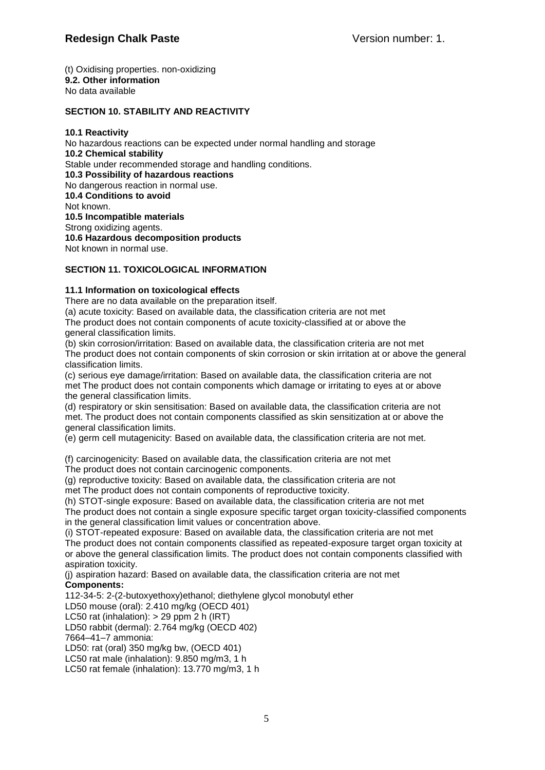(t) Oxidising properties. non-oxidizing **9.2. Other information**  No data available

# **SECTION 10. STABILITY AND REACTIVITY**

## **10.1 Reactivity**

No hazardous reactions can be expected under normal handling and storage **10.2 Chemical stability** Stable under recommended storage and handling conditions. **10.3 Possibility of hazardous reactions** No dangerous reaction in normal use. **10.4 Conditions to avoid** Not known. **10.5 Incompatible materials** Strong oxidizing agents. **10.6 Hazardous decomposition products** Not known in normal use.

# **SECTION 11. TOXICOLOGICAL INFORMATION**

## **11.1 Information on toxicological effects**

There are no data available on the preparation itself.

(a) acute toxicity: Based on available data, the classification criteria are not met

The product does not contain components of acute toxicity-classified at or above the general classification limits.

(b) skin corrosion/irritation: Based on available data, the classification criteria are not met The product does not contain components of skin corrosion or skin irritation at or above the general classification limits.

(c) serious eye damage/irritation: Based on available data, the classification criteria are not met The product does not contain components which damage or irritating to eyes at or above the general classification limits.

(d) respiratory or skin sensitisation: Based on available data, the classification criteria are not met. The product does not contain components classified as skin sensitization at or above the general classification limits.

(e) germ cell mutagenicity: Based on available data, the classification criteria are not met.

(f) carcinogenicity: Based on available data, the classification criteria are not met The product does not contain carcinogenic components.

(g) reproductive toxicity: Based on available data, the classification criteria are not

met The product does not contain components of reproductive toxicity.

(h) STOT-single exposure: Based on available data, the classification criteria are not met

The product does not contain a single exposure specific target organ toxicity-classified components in the general classification limit values or concentration above.

(i) STOT-repeated exposure: Based on available data, the classification criteria are not met The product does not contain components classified as repeated-exposure target organ toxicity at or above the general classification limits. The product does not contain components classified with aspiration toxicity.

(j) aspiration hazard: Based on available data, the classification criteria are not met **Components:**

112-34-5: 2-(2-butoxyethoxy)ethanol; diethylene glycol monobutyl ether

LD50 mouse (oral): 2.410 mg/kg (OECD 401)

LC50 rat (inhalation):  $> 29$  ppm 2 h (IRT)

LD50 rabbit (dermal): 2.764 mg/kg (OECD 402)

7664–41–7 ammonia:

LD50: rat (oral) 350 mg/kg bw, (OECD 401)

LC50 rat male (inhalation): 9.850 mg/m3, 1 h

LC50 rat female (inhalation): 13.770 mg/m3, 1 h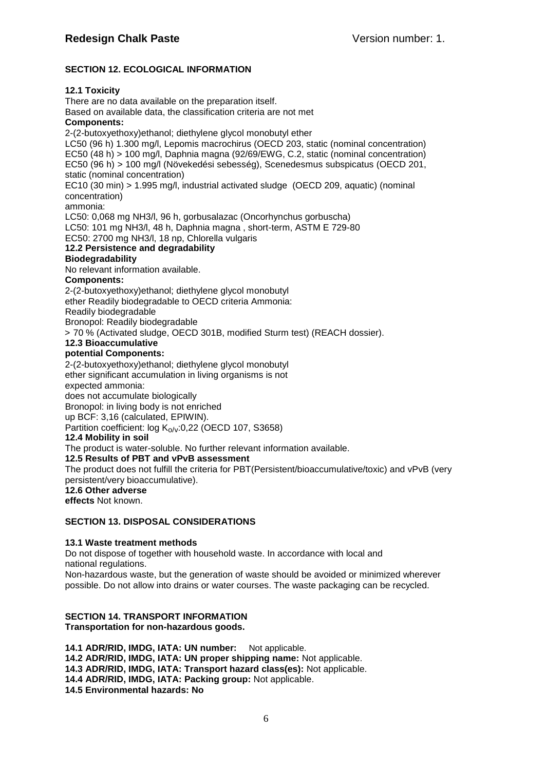# **SECTION 12. ECOLOGICAL INFORMATION**

# **12.1 Toxicity**

There are no data available on the preparation itself. Based on available data, the classification criteria are not met **Components:** 2-(2-butoxyethoxy)ethanol; diethylene glycol monobutyl ether LC50 (96 h) 1.300 mg/l, Lepomis macrochirus (OECD 203, static (nominal concentration) EC50 (48 h) > 100 mg/l, Daphnia magna (92/69/EWG, C.2, static (nominal concentration) EC50 (96 h) > 100 mg/l (Növekedési sebesség), Scenedesmus subspicatus (OECD 201, static (nominal concentration) EC10 (30 min) > 1.995 mg/l, industrial activated sludge (OECD 209, aquatic) (nominal concentration) ammonia: LC50: 0,068 mg NH3/l, 96 h, gorbusalazac (Oncorhynchus gorbuscha) LC50: 101 mg NH3/l, 48 h, Daphnia magna , short-term, ASTM E 729-80 EC50: 2700 mg NH3/l, 18 np, Chlorella vulgaris **12.2 Persistence and degradability Biodegradability** No relevant information available. **Components:** 2-(2-butoxyethoxy)ethanol; diethylene glycol monobutyl ether Readily biodegradable to OECD criteria Ammonia: Readily biodegradable Bronopol: Readily biodegradable > 70 % (Activated sludge, OECD 301B, modified Sturm test) (REACH dossier). **12.3 Bioaccumulative potential Components:** 2-(2-butoxyethoxy)ethanol; diethylene glycol monobutyl ether significant accumulation in living organisms is not expected ammonia: does not accumulate biologically Bronopol: in living body is not enriched up BCF: 3,16 (calculated, EPIWIN). Partition coefficient: log Ko/v:0.22 (OECD 107, S3658) **12.4 Mobility in soil** The product is water-soluble. No further relevant information available. **12.5 Results of PBT and vPvB assessment** The product does not fulfill the criteria for PBT(Persistent/bioaccumulative/toxic) and vPvB (very persistent/very bioaccumulative). **12.6 Other adverse effects** Not known.

## **SECTION 13. DISPOSAL CONSIDERATIONS**

### **13.1 Waste treatment methods**

Do not dispose of together with household waste. In accordance with local and national regulations.

Non-hazardous waste, but the generation of waste should be avoided or minimized wherever possible. Do not allow into drains or water courses. The waste packaging can be recycled.

# **SECTION 14. TRANSPORT INFORMATION**

**Transportation for non-hazardous goods.**

**14.1 ADR/RID, IMDG, IATA: UN number:** Not applicable. **14.2 ADR/RID, IMDG, IATA: UN proper shipping name:** Not applicable. **14.3 ADR/RID, IMDG, IATA: Transport hazard class(es):** Not applicable. **14.4 ADR/RID, IMDG, IATA: Packing group:** Not applicable. **14.5 Environmental hazards: No**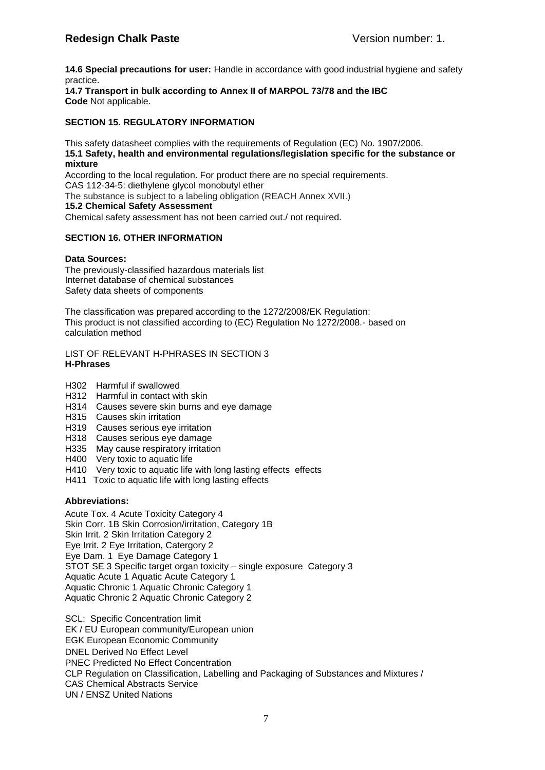**14.6 Special precautions for user:** Handle in accordance with good industrial hygiene and safety practice.

**14.7 Transport in bulk according to Annex II of MARPOL 73/78 and the IBC Code** Not applicable.

## **SECTION 15. REGULATORY INFORMATION**

This safety datasheet complies with the requirements of Regulation (EC) No. 1907/2006. **15.1 Safety, health and environmental regulations/legislation specific for the substance or mixture**

According to the local regulation. For product there are no special requirements. CAS 112-34-5: diethylene glycol monobutyl ether

The substance is subject to a labeling obligation (REACH Annex XVII.)

**15.2 Chemical Safety Assessment**

Chemical safety assessment has not been carried out./ not required.

## **SECTION 16. OTHER INFORMATION**

### **Data Sources:**

The previously-classified hazardous materials list Internet database of chemical substances Safety data sheets of components

The classification was prepared according to the 1272/2008/EK Regulation: This product is not classified according to (EC) Regulation No 1272/2008.- based on calculation method

LIST OF RELEVANT H-PHRASES IN SECTION 3 **H-Phrases**

- H302 Harmful if swallowed
- H312 Harmful in contact with skin
- H314 Causes severe skin burns and eye damage
- H315 Causes skin irritation
- H319 Causes serious eye irritation
- H318 Causes serious eye damage
- H335 May cause respiratory irritation
- H400 Very toxic to aquatic life
- H410 Very toxic to aquatic life with long lasting effects effects
- H411 Toxic to aquatic life with long lasting effects

### **Abbreviations:**

Acute Tox. 4 Acute Toxicity Category 4 Skin Corr. 1B Skin Corrosion/irritation, Category 1B Skin Irrit. 2 Skin Irritation Category 2 Eye Irrit. 2 Eye Irritation, Catergory 2 Eye Dam. 1 Eye Damage Category 1 STOT SE 3 Specific target organ toxicity – single exposure Category 3 Aquatic Acute 1 Aquatic Acute Category 1 Aquatic Chronic 1 Aquatic Chronic Category 1 Aquatic Chronic 2 Aquatic Chronic Category 2

SCL: Specific Concentration limit EK / EU European community/European union EGK European Economic Community DNEL Derived No Effect Level PNEC Predicted No Effect Concentration CLP Regulation on Classification, Labelling and Packaging of Substances and Mixtures / CAS Chemical Abstracts Service UN / ENSZ United Nations